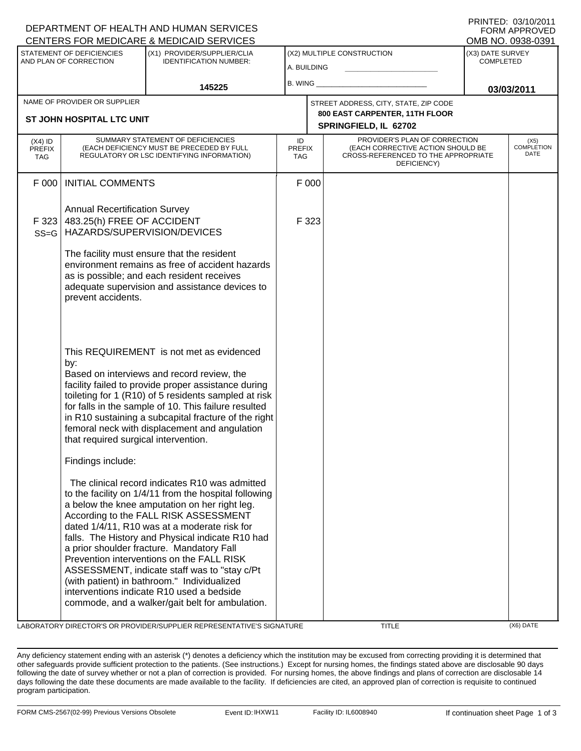|                                                     |                                                                                                   | DEPARTMENT OF HEALTH AND HUMAN SERVICES<br>CENTERS FOR MEDICARE & MEDICAID SERVICES                                                                                                                                                                                                                                                                                                                                                                                                                                                                                                            |                                           |       |                                                                                                                          |                                      | FORM APPROVED<br>OMB NO. 0938-0391 |
|-----------------------------------------------------|---------------------------------------------------------------------------------------------------|------------------------------------------------------------------------------------------------------------------------------------------------------------------------------------------------------------------------------------------------------------------------------------------------------------------------------------------------------------------------------------------------------------------------------------------------------------------------------------------------------------------------------------------------------------------------------------------------|-------------------------------------------|-------|--------------------------------------------------------------------------------------------------------------------------|--------------------------------------|------------------------------------|
| STATEMENT OF DEFICIENCIES<br>AND PLAN OF CORRECTION |                                                                                                   | (X1) PROVIDER/SUPPLIER/CLIA<br><b>IDENTIFICATION NUMBER:</b>                                                                                                                                                                                                                                                                                                                                                                                                                                                                                                                                   | (X2) MULTIPLE CONSTRUCTION<br>A. BUILDING |       |                                                                                                                          | (X3) DATE SURVEY<br><b>COMPLETED</b> |                                    |
|                                                     | 145225                                                                                            |                                                                                                                                                                                                                                                                                                                                                                                                                                                                                                                                                                                                | B. WING                                   |       |                                                                                                                          | 03/03/2011                           |                                    |
|                                                     | NAME OF PROVIDER OR SUPPLIER                                                                      |                                                                                                                                                                                                                                                                                                                                                                                                                                                                                                                                                                                                |                                           |       | STREET ADDRESS, CITY, STATE, ZIP CODE                                                                                    |                                      |                                    |
|                                                     | ST JOHN HOSPITAL LTC UNIT                                                                         |                                                                                                                                                                                                                                                                                                                                                                                                                                                                                                                                                                                                |                                           |       | 800 EAST CARPENTER, 11TH FLOOR<br>SPRINGFIELD, IL 62702                                                                  |                                      |                                    |
| (X4) ID<br><b>PREFIX</b><br><b>TAG</b>              |                                                                                                   | SUMMARY STATEMENT OF DEFICIENCIES<br>(EACH DEFICIENCY MUST BE PRECEDED BY FULL<br>REGULATORY OR LSC IDENTIFYING INFORMATION)                                                                                                                                                                                                                                                                                                                                                                                                                                                                   | ID<br><b>PREFIX</b><br><b>TAG</b>         |       | PROVIDER'S PLAN OF CORRECTION<br>(EACH CORRECTIVE ACTION SHOULD BE<br>CROSS-REFERENCED TO THE APPROPRIATE<br>DEFICIENCY) |                                      | (X5)<br><b>COMPLETION</b><br>DATE  |
| F 000                                               | <b>INITIAL COMMENTS</b>                                                                           |                                                                                                                                                                                                                                                                                                                                                                                                                                                                                                                                                                                                |                                           | F 000 |                                                                                                                          |                                      |                                    |
| F 323<br>$SS = G$                                   | <b>Annual Recertification Survey</b><br>483.25(h) FREE OF ACCIDENT<br>HAZARDS/SUPERVISION/DEVICES |                                                                                                                                                                                                                                                                                                                                                                                                                                                                                                                                                                                                |                                           | F 323 |                                                                                                                          |                                      |                                    |
|                                                     | prevent accidents.                                                                                | The facility must ensure that the resident<br>environment remains as free of accident hazards<br>as is possible; and each resident receives<br>adequate supervision and assistance devices to                                                                                                                                                                                                                                                                                                                                                                                                  |                                           |       |                                                                                                                          |                                      |                                    |
|                                                     | by:<br>that required surgical intervention.                                                       | This REQUIREMENT is not met as evidenced<br>Based on interviews and record review, the<br>facility failed to provide proper assistance during<br>toileting for 1 (R10) of 5 residents sampled at risk<br>for falls in the sample of 10. This failure resulted<br>in R10 sustaining a subcapital fracture of the right<br>femoral neck with displacement and angulation                                                                                                                                                                                                                         |                                           |       |                                                                                                                          |                                      |                                    |
|                                                     | Findings include:                                                                                 |                                                                                                                                                                                                                                                                                                                                                                                                                                                                                                                                                                                                |                                           |       |                                                                                                                          |                                      |                                    |
|                                                     |                                                                                                   | The clinical record indicates R10 was admitted<br>to the facility on 1/4/11 from the hospital following<br>a below the knee amputation on her right leg.<br>According to the FALL RISK ASSESSMENT<br>dated 1/4/11, R10 was at a moderate risk for<br>falls. The History and Physical indicate R10 had<br>a prior shoulder fracture. Mandatory Fall<br>Prevention interventions on the FALL RISK<br>ASSESSMENT, indicate staff was to "stay c/Pt<br>(with patient) in bathroom." Individualized<br>interventions indicate R10 used a bedside<br>commode, and a walker/gait belt for ambulation. |                                           |       |                                                                                                                          |                                      |                                    |

LABORATORY DIRECTOR'S OR PROVIDER/SUPPLIER REPRESENTATIVE'S SIGNATURE TITLE TITLE (X6) DATE

DEPARTMENT OF HEALTH AND HUMAN SERVICES

PRINTED: 03/10/2011

Any deficiency statement ending with an asterisk (\*) denotes a deficiency which the institution may be excused from correcting providing it is determined that other safeguards provide sufficient protection to the patients. (See instructions.) Except for nursing homes, the findings stated above are disclosable 90 days following the date of survey whether or not a plan of correction is provided. For nursing homes, the above findings and plans of correction are disclosable 14 days following the date these documents are made available to the facility. If deficiencies are cited, an approved plan of correction is requisite to continued program participation.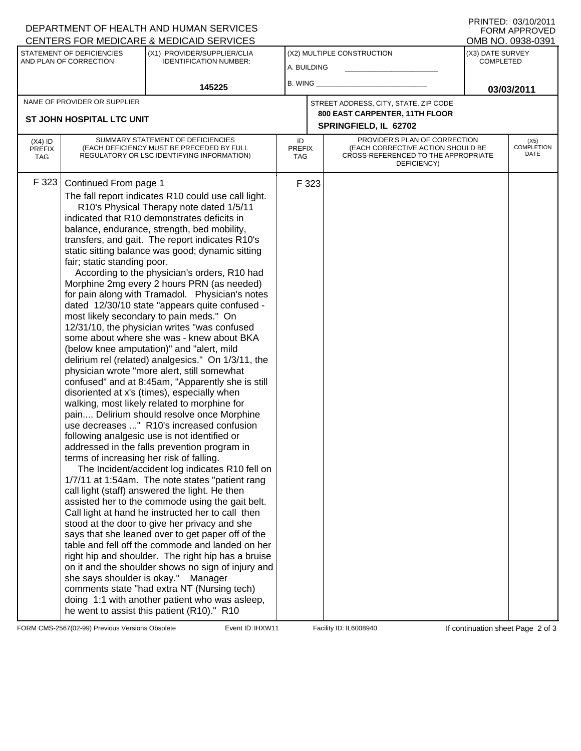|                                                     |                                                                                                  | DEPARTMENT OF HEALTH AND HUMAN SERVICES<br>CENTERS FOR MEDICARE & MEDICAID SERVICES                                                                                                                                                                                                                                                                                                                                                                                                                                                                                                                                                                                                                                                                                                                                                                                                                                                                                                                                                                                                                                                                                                                                                                                                                                                                                                                                                                                                                                                                                                                                                                                                                                                                                                                                                                                           |                                           |       |                                                                                                                          |                                                           | FORM APPROVED                     |
|-----------------------------------------------------|--------------------------------------------------------------------------------------------------|-------------------------------------------------------------------------------------------------------------------------------------------------------------------------------------------------------------------------------------------------------------------------------------------------------------------------------------------------------------------------------------------------------------------------------------------------------------------------------------------------------------------------------------------------------------------------------------------------------------------------------------------------------------------------------------------------------------------------------------------------------------------------------------------------------------------------------------------------------------------------------------------------------------------------------------------------------------------------------------------------------------------------------------------------------------------------------------------------------------------------------------------------------------------------------------------------------------------------------------------------------------------------------------------------------------------------------------------------------------------------------------------------------------------------------------------------------------------------------------------------------------------------------------------------------------------------------------------------------------------------------------------------------------------------------------------------------------------------------------------------------------------------------------------------------------------------------------------------------------------------------|-------------------------------------------|-------|--------------------------------------------------------------------------------------------------------------------------|-----------------------------------------------------------|-----------------------------------|
| STATEMENT OF DEFICIENCIES<br>AND PLAN OF CORRECTION |                                                                                                  | (X1) PROVIDER/SUPPLIER/CLIA<br><b>IDENTIFICATION NUMBER:</b>                                                                                                                                                                                                                                                                                                                                                                                                                                                                                                                                                                                                                                                                                                                                                                                                                                                                                                                                                                                                                                                                                                                                                                                                                                                                                                                                                                                                                                                                                                                                                                                                                                                                                                                                                                                                                  | (X2) MULTIPLE CONSTRUCTION<br>A. BUILDING |       |                                                                                                                          | OMB NO. 0938-0391<br>(X3) DATE SURVEY<br><b>COMPLETED</b> |                                   |
|                                                     |                                                                                                  | 145225                                                                                                                                                                                                                                                                                                                                                                                                                                                                                                                                                                                                                                                                                                                                                                                                                                                                                                                                                                                                                                                                                                                                                                                                                                                                                                                                                                                                                                                                                                                                                                                                                                                                                                                                                                                                                                                                        | $B.$ WING $\_$                            |       |                                                                                                                          |                                                           | 03/03/2011                        |
|                                                     | NAME OF PROVIDER OR SUPPLIER                                                                     |                                                                                                                                                                                                                                                                                                                                                                                                                                                                                                                                                                                                                                                                                                                                                                                                                                                                                                                                                                                                                                                                                                                                                                                                                                                                                                                                                                                                                                                                                                                                                                                                                                                                                                                                                                                                                                                                               |                                           |       | STREET ADDRESS, CITY, STATE, ZIP CODE                                                                                    |                                                           |                                   |
|                                                     | <b>ST JOHN HOSPITAL LTC UNIT</b>                                                                 |                                                                                                                                                                                                                                                                                                                                                                                                                                                                                                                                                                                                                                                                                                                                                                                                                                                                                                                                                                                                                                                                                                                                                                                                                                                                                                                                                                                                                                                                                                                                                                                                                                                                                                                                                                                                                                                                               |                                           |       | 800 EAST CARPENTER, 11TH FLOOR<br>SPRINGFIELD, IL 62702                                                                  |                                                           |                                   |
| $(X4)$ ID<br><b>PREFIX</b><br>TAG                   |                                                                                                  | SUMMARY STATEMENT OF DEFICIENCIES<br>(EACH DEFICIENCY MUST BE PRECEDED BY FULL<br>REGULATORY OR LSC IDENTIFYING INFORMATION)                                                                                                                                                                                                                                                                                                                                                                                                                                                                                                                                                                                                                                                                                                                                                                                                                                                                                                                                                                                                                                                                                                                                                                                                                                                                                                                                                                                                                                                                                                                                                                                                                                                                                                                                                  | ID<br><b>PREFIX</b><br><b>TAG</b>         |       | PROVIDER'S PLAN OF CORRECTION<br>(EACH CORRECTIVE ACTION SHOULD BE<br>CROSS-REFERENCED TO THE APPROPRIATE<br>DEFICIENCY) |                                                           | (X5)<br><b>COMPLETION</b><br>DATE |
| F323                                                | Continued From page 1<br>fair; static standing poor.<br>terms of increasing her risk of falling. | The fall report indicates R10 could use call light.<br>R10's Physical Therapy note dated 1/5/11<br>indicated that R10 demonstrates deficits in<br>balance, endurance, strength, bed mobility,<br>transfers, and gait. The report indicates R10's<br>static sitting balance was good; dynamic sitting<br>According to the physician's orders, R10 had<br>Morphine 2mg every 2 hours PRN (as needed)<br>for pain along with Tramadol. Physician's notes<br>dated 12/30/10 state "appears quite confused -<br>most likely secondary to pain meds." On<br>12/31/10, the physician writes "was confused<br>some about where she was - knew about BKA<br>(below knee amputation)" and "alert, mild<br>delirium rel (related) analgesics." On 1/3/11, the<br>physician wrote "more alert, still somewhat<br>confused" and at 8:45am, "Apparently she is still<br>disoriented at x's (times), especially when<br>walking, most likely related to morphine for<br>pain Delirium should resolve once Morphine<br>use decreases " R10's increased confusion<br>following analgesic use is not identified or<br>addressed in the falls prevention program in<br>The Incident/accident log indicates R10 fell on<br>1/7/11 at 1:54am. The note states "patient rang<br>call light (staff) answered the light. He then<br>assisted her to the commode using the gait belt.<br>Call light at hand he instructed her to call then<br>stood at the door to give her privacy and she<br>says that she leaned over to get paper off of the<br>table and fell off the commode and landed on her<br>right hip and shoulder. The right hip has a bruise<br>on it and the shoulder shows no sign of injury and<br>she says shoulder is okay." Manager<br>comments state "had extra NT (Nursing tech)<br>doing 1:1 with another patient who was asleep,<br>he went to assist this patient (R10)." R10 |                                           | F 323 |                                                                                                                          |                                                           |                                   |

FORM CMS-2567(02-99) Previous Versions Obsolete Event ID: IHXW11 Facility ID: IL6008940 If continuation sheet Page 2 of 3

DEPARTMENT OF HEALTH AND HUMAN SERVICES

PRINTED: 03/10/2011